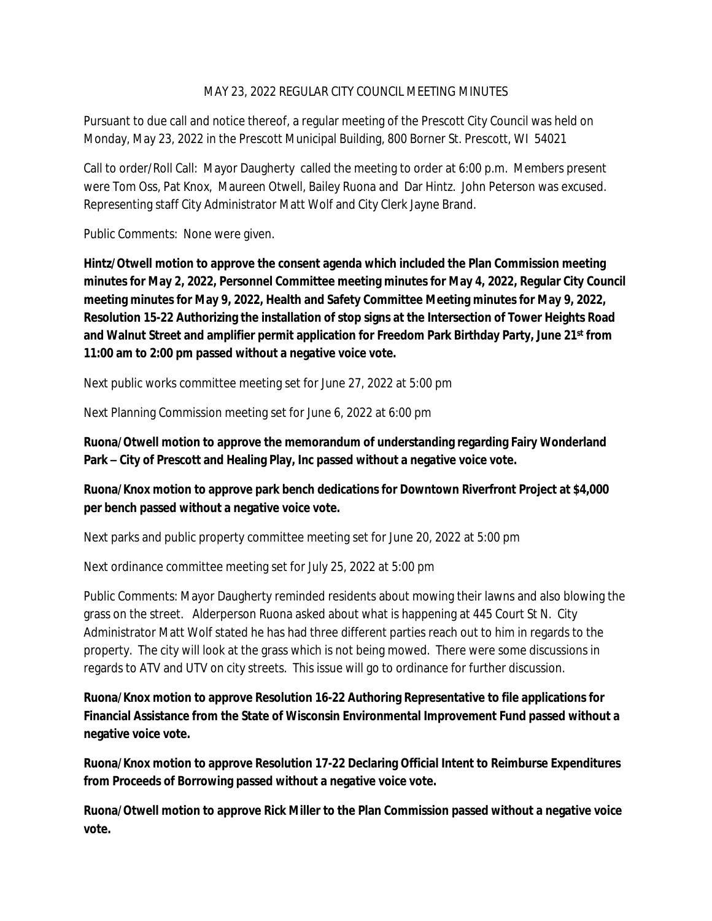## MAY 23, 2022 REGULAR CITY COUNCIL MEETING MINUTES

Pursuant to due call and notice thereof, a regular meeting of the Prescott City Council was held on Monday, May 23, 2022 in the Prescott Municipal Building, 800 Borner St. Prescott, WI 54021

Call to order/Roll Call: Mayor Daugherty called the meeting to order at 6:00 p.m. Members present were Tom Oss, Pat Knox, Maureen Otwell, Bailey Ruona and Dar Hintz. John Peterson was excused. Representing staff City Administrator Matt Wolf and City Clerk Jayne Brand.

Public Comments: None were given.

**Hintz/Otwell motion to approve the consent agenda which included the Plan Commission meeting minutes for May 2, 2022, Personnel Committee meeting minutes for May 4, 2022, Regular City Council meeting minutes for May 9, 2022, Health and Safety Committee Meeting minutes for May 9, 2022, Resolution 15-22 Authorizing the installation of stop signs at the Intersection of Tower Heights Road and Walnut Street and amplifier permit application for Freedom Park Birthday Party, June 21st from 11:00 am to 2:00 pm passed without a negative voice vote.**

Next public works committee meeting set for June 27, 2022 at 5:00 pm

Next Planning Commission meeting set for June 6, 2022 at 6:00 pm

**Ruona/Otwell motion to approve the memorandum of understanding regarding Fairy Wonderland Park – City of Prescott and Healing Play, Inc passed without a negative voice vote.**

## **Ruona/Knox motion to approve park bench dedications for Downtown Riverfront Project at \$4,000 per bench passed without a negative voice vote.**

Next parks and public property committee meeting set for June 20, 2022 at 5:00 pm

Next ordinance committee meeting set for July 25, 2022 at 5:00 pm

Public Comments: Mayor Daugherty reminded residents about mowing their lawns and also blowing the grass on the street. Alderperson Ruona asked about what is happening at 445 Court St N. City Administrator Matt Wolf stated he has had three different parties reach out to him in regards to the property. The city will look at the grass which is not being mowed. There were some discussions in regards to ATV and UTV on city streets. This issue will go to ordinance for further discussion.

**Ruona/Knox motion to approve Resolution 16-22 Authoring Representative to file applications for Financial Assistance from the State of Wisconsin Environmental Improvement Fund passed without a negative voice vote.**

**Ruona/Knox motion to approve Resolution 17-22 Declaring Official Intent to Reimburse Expenditures from Proceeds of Borrowing passed without a negative voice vote.**

**Ruona/Otwell motion to approve Rick Miller to the Plan Commission passed without a negative voice vote.**